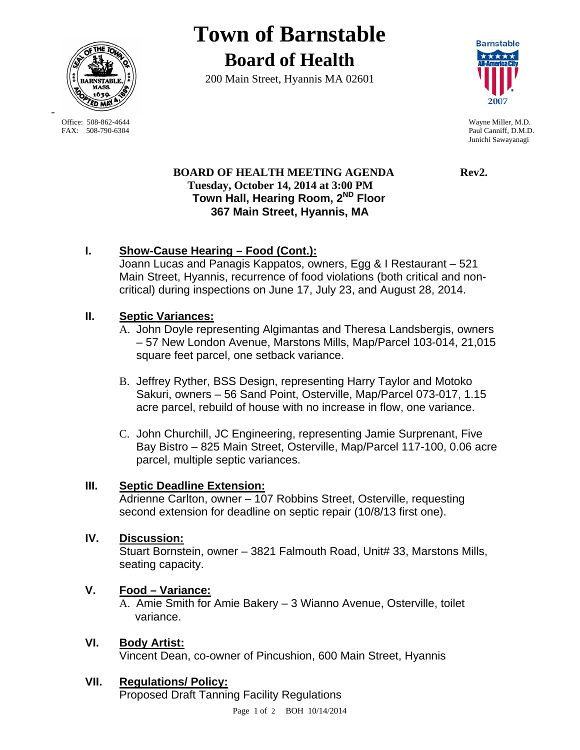

-

**Town of Barnstable Board of Health**

200 Main Street, Hyannis MA 02601



Office: 508-862-4644 Wayne Miller, M.D.<br>
FAX: 508-790-6304 Paul Canniff. D.M.D Paul Canniff, D.M.D. Junichi Sawayanagi

#### **BOARD OF HEALTH MEETING AGENDA Rev2. Tuesday, October 14, 2014 at 3:00 PM Town Hall, Hearing Room, 2ND Floor 367 Main Street, Hyannis, MA**

# **I. Show-Cause Hearing – Food (Cont.):**

Joann Lucas and Panagis Kappatos, owners, Egg & I Restaurant – 521 Main Street, Hyannis, recurrence of food violations (both critical and noncritical) during inspections on June 17, July 23, and August 28, 2014.

#### **II. Septic Variances:**

- A. John Doyle representing Algimantas and Theresa Landsbergis, owners – 57 New London Avenue, Marstons Mills, Map/Parcel 103-014, 21,015 square feet parcel, one setback variance.
- B. Jeffrey Ryther, BSS Design, representing Harry Taylor and Motoko Sakuri, owners – 56 Sand Point, Osterville, Map/Parcel 073-017, 1.15 acre parcel, rebuild of house with no increase in flow, one variance.
- C. John Churchill, JC Engineering, representing Jamie Surprenant, Five Bay Bistro – 825 Main Street, Osterville, Map/Parcel 117-100, 0.06 acre parcel, multiple septic variances.

## **III. Septic Deadline Extension:**

Adrienne Carlton, owner – 107 Robbins Street, Osterville, requesting second extension for deadline on septic repair (10/8/13 first one).

## **IV. Discussion:**

Stuart Bornstein, owner – 3821 Falmouth Road, Unit# 33, Marstons Mills, seating capacity.

## **V. Food – Variance:**

A. Amie Smith for Amie Bakery – 3 Wianno Avenue, Osterville, toilet variance.

## **VI. Body Artist:**

Vincent Dean, co-owner of Pincushion, 600 Main Street, Hyannis

## **VII. Regulations/ Policy:**

Proposed Draft Tanning Facility Regulations